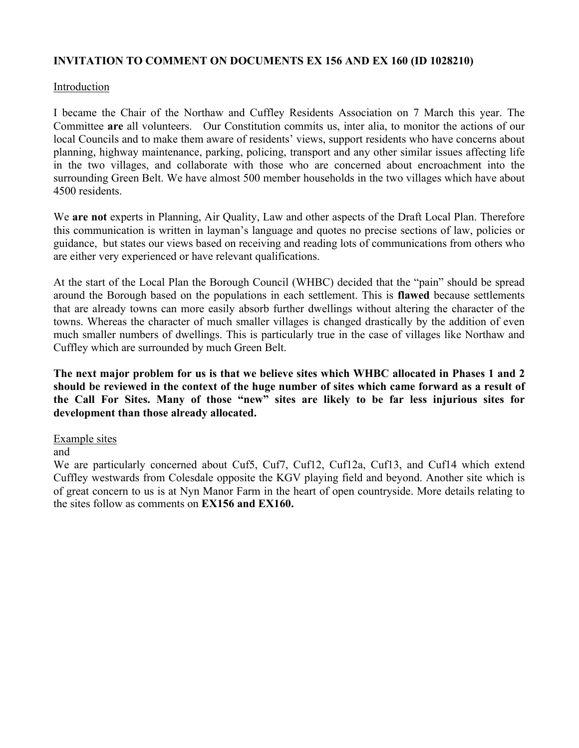## **INVITATION TO COMMENT ON DOCUMENTS EX 156 AND EX 160 (ID 1028210)**

#### Introduction

I became the Chair of the Northaw and Cuffley Residents Association on 7 March this year. The Committee **are** all volunteers. Our Constitution commits us, inter alia, to monitor the actions of our local Councils and to make them aware of residents' views, support residents who have concerns about planning, highway maintenance, parking, policing, transport and any other similar issues affecting life in the two villages, and collaborate with those who are concerned about encroachment into the surrounding Green Belt. We have almost 500 member households in the two villages which have about 4500 residents.

We **are not** experts in Planning, Air Quality, Law and other aspects of the Draft Local Plan. Therefore this communication is written in layman's language and quotes no precise sections of law, policies or guidance, but states our views based on receiving and reading lots of communications from others who are either very experienced or have relevant qualifications.

At the start of the Local Plan the Borough Council (WHBC) decided that the "pain" should be spread around the Borough based on the populations in each settlement. This is **flawed** because settlements that are already towns can more easily absorb further dwellings without altering the character of the towns. Whereas the character of much smaller villages is changed drastically by the addition of even much smaller numbers of dwellings. This is particularly true in the case of villages like Northaw and Cuffley which are surrounded by much Green Belt.

**The next major problem for us is that we believe sites which WHBC allocated in Phases 1 and 2 should be reviewed in the context of the huge number of sites which came forward as a result of the Call For Sites. Many of those "new" sites are likely to be far less injurious sites for development than those already allocated.**

#### Example sites

and

We are particularly concerned about Cuf5, Cuf7, Cuf12, Cuf12a, Cuf13, and Cuf14 which extend Cuffley westwards from Colesdale opposite the KGV playing field and beyond. Another site which is of great concern to us is at Nyn Manor Farm in the heart of open countryside. More details relating to the sites follow as comments on **EX156 and EX160.**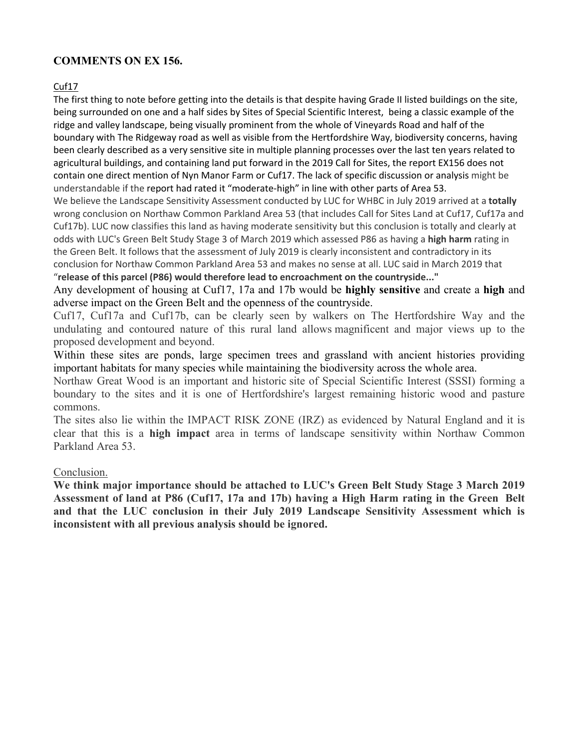# **COMMENTS ON EX 156.**

#### Cuf17

The first thing to note before getting into the details is that despite having Grade II listed buildings on the site, being surrounded on one and a half sides by Sites of Special Scientific Interest, being a classic example of the ridge and valley landscape, being visually prominent from the whole of Vineyards Road and half of the boundary with The Ridgeway road as well as visible from the Hertfordshire Way, biodiversity concerns, having been clearly described as a very sensitive site in multiple planning processes over the last ten years related to agricultural buildings, and containing land put forward in the 2019 Call for Sites, the report EX156 does not contain one direct mention of Nyn Manor Farm or Cuf17. The lack of specific discussion or analysis might be understandable if the report had rated it "moderate-high" in line with other parts of Area 53.

We believe the Landscape Sensitivity Assessment conducted by LUC for WHBC in July 2019 arrived at a **totally**  wrong conclusion on Northaw Common Parkland Area 53 (that includes Call for Sites Land at Cuf17, Cuf17a and Cuf17b). LUC now classifies this land as having moderate sensitivity but this conclusion is totally and clearly at odds with LUC's Green Belt Study Stage 3 of March 2019 which assessed P86 as having a **high harm** rating in the Green Belt. It follows that the assessment of July 2019 is clearly inconsistent and contradictory in its conclusion for Northaw Common Parkland Area 53 and makes no sense at all. LUC said in March 2019 that "**release of this parcel (P86) would therefore lead to encroachment on the countryside..."**

Any development of housing at Cuf17, 17a and 17b would be **highly sensitive** and create a **high** and adverse impact on the Green Belt and the openness of the countryside.

Cuf17, Cuf17a and Cuf17b, can be clearly seen by walkers on The Hertfordshire Way and the undulating and contoured nature of this rural land allows magnificent and major views up to the proposed development and beyond.

Within these sites are ponds, large specimen trees and grassland with ancient histories providing important habitats for many species while maintaining the biodiversity across the whole area.

Northaw Great Wood is an important and historic site of Special Scientific Interest (SSSI) forming a boundary to the sites and it is one of Hertfordshire's largest remaining historic wood and pasture commons.

The sites also lie within the IMPACT RISK ZONE (IRZ) as evidenced by Natural England and it is clear that this is a **high impact** area in terms of landscape sensitivity within Northaw Common Parkland Area 53.

#### Conclusion.

**We think major importance should be attached to LUC's Green Belt Study Stage 3 March 2019 Assessment of land at P86 (Cuf17, 17a and 17b) having a High Harm rating in the Green Belt and that the LUC conclusion in their July 2019 Landscape Sensitivity Assessment which is inconsistent with all previous analysis should be ignored.**